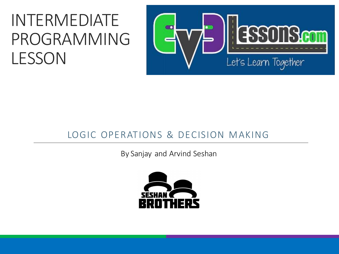#### INTERMEDIATE PROGRAMMING LESSON



#### LOGIC OPERATIONS & DECISION MAKING

By Sanjay and Arvind Seshan

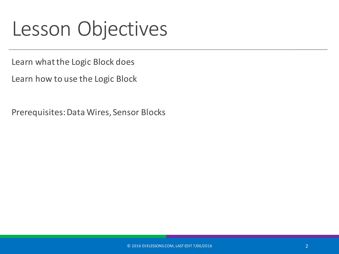### Lesson Objectives

Learn what the Logic Block does

Learn how to use the Logic Block

Prerequisites: Data Wires, Sensor Blocks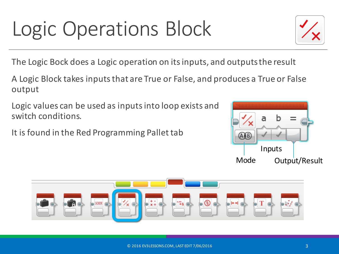# Logic Operations Block

The Logic Bock does a Logic operation on its inputs, and outputs the result

A Logic Block takes inputs that are True or False, and produces a True or False output 

Logic values can be used as inputs into loop exists and switch conditions.

It is found in the Red Programming Pallet tab





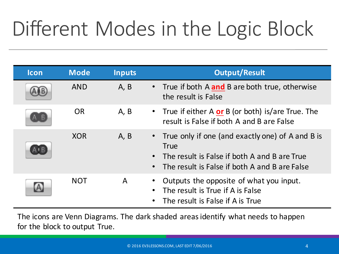## Different Modes in the Logic Block

| <b>Icon</b> | <b>Mode</b> | <b>Inputs</b> | <b>Output/Result</b>                                                                                                                                               |
|-------------|-------------|---------------|--------------------------------------------------------------------------------------------------------------------------------------------------------------------|
|             | <b>AND</b>  | A, B          | True if both A and B are both true, otherwise<br>the result is False                                                                                               |
|             | <b>OR</b>   | A, B          | • True if either A $or B$ (or both) is/are True. The<br>result is False if both A and B are False                                                                  |
|             | <b>XOR</b>  | A, B          | • True only if one (and exactly one) of A and B is<br><b>True</b><br>The result is False if both A and B are True<br>The result is False if both A and B are False |
|             | <b>NOT</b>  | A             | Outputs the opposite of what you input.<br>The result is True if A is False<br>The result is False if A is True                                                    |

The icons are Venn Diagrams. The dark shaded areas identify what needs to happen for the block to output True.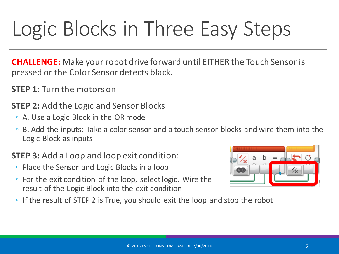## Logic Blocks in Three Easy Steps

**CHALLENGE:** Make your robot drive forward until EITHER the Touch Sensor is pressed or the Color Sensor detects black.

- **STEP 1:** Turn the motors on
- **STEP 2:** Add the Logic and Sensor Blocks
	- A. Use a Logic Block in the OR mode
	- B. Add the inputs: Take a color sensor and a touch sensor blocks and wire them into the Logic Block as inputs

#### **STEP 3:** Add a Loop and loop exit condition:

- Place the Sensor and Logic Blocks in a loop
- $\circ$  For the exit condition of the loop, select logic. Wire the result of the Logic Block into the exit condition



 $\circ$  If the result of STEP 2 is True, you should exit the loop and stop the robot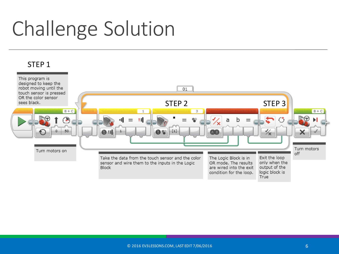### Challenge Solution

#### STEP<sub>1</sub>